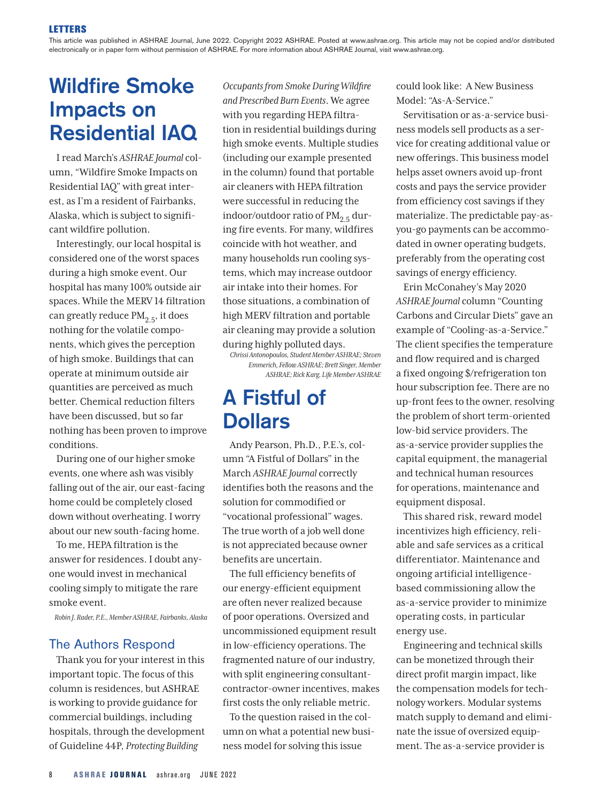This article was published in ASHRAE Journal, June 2022. Copyright 2022 ASHRAE. Posted at [www.ashrae.org.](http://www.ashrae.org) This article may not be copied and/or distributed electronically or in paper form without permission of ASHRAE. For more information about ASHRAE Journal, visit [www.ashrae.org](http://www.ashrae.org).

## Wildfire Smoke Impacts on Residential IAQ

I read March's *ASHRAE Journal* column, "Wildfire Smoke Impacts on Residential IAQ" with great interest, as I'm a resident of Fairbanks, Alaska, which is subject to significant wildfire pollution.

Interestingly, our local hospital is considered one of the worst spaces during a high smoke event. Our hospital has many 100% outside air spaces. While the MERV 14 filtration can greatly reduce  $PM<sub>2.5</sub>$ , it does nothing for the volatile components, which gives the perception of high smoke. Buildings that can operate at minimum outside air quantities are perceived as much better. Chemical reduction filters have been discussed, but so far nothing has been proven to improve conditions.

During one of our higher smoke events, one where ash was visibly falling out of the air, our east-facing home could be completely closed down without overheating. I worry about our new south-facing home.

To me, HEPA filtration is the answer for residences. I doubt anyone would invest in mechanical cooling simply to mitigate the rare smoke event.

*Robin J. Rader, P.E., Member ASHRAE, Fairbanks, Alaska*

## The Authors Respond

Thank you for your interest in this important topic. The focus of this column is residences, but ASHRAE is working to provide guidance for commercial buildings, including hospitals, through the development of Guideline 44P, *Protecting Building* 

*Occupants from Smoke During Wildfire and Prescribed Burn Events*. We agree with you regarding HEPA filtration in residential buildings during high smoke events. Multiple studies (including our example presented in the column) found that portable air cleaners with HEPA filtration were successful in reducing the indoor/outdoor ratio of  $PM_{2.5}$  during fire events. For many, wildfires coincide with hot weather, and many households run cooling systems, which may increase outdoor air intake into their homes. For those situations, a combination of high MERV filtration and portable air cleaning may provide a solution during highly polluted days.

*Chrissi Antonopoulos, Student Member ASHRAE; Steven Emmerich, Fellow ASHRAE; Brett Singer, Member ASHRAE; Rick Karg, Life Member ASHRAE*

## A Fistful of **Dollars**

Andy Pearson, Ph.D., P.E.'s, column "A Fistful of Dollars" in the March *ASHRAE Journal* correctly identifies both the reasons and the solution for commodified or "vocational professional" wages. The true worth of a job well done is not appreciated because owner benefits are uncertain.

The full efficiency benefits of our energy-efficient equipment are often never realized because of poor operations. Oversized and uncommissioned equipment result in low-efficiency operations. The fragmented nature of our industry, with split engineering consultantcontractor-owner incentives, makes first costs the only reliable metric.

To the question raised in the column on what a potential new business model for solving this issue

could look like: A New Business Model: "As-A-Service."

Servitisation or as-a-service business models sell products as a service for creating additional value or new offerings. This business model helps asset owners avoid up-front costs and pays the service provider from efficiency cost savings if they materialize. The predictable pay-asyou-go payments can be accommodated in owner operating budgets, preferably from the operating cost savings of energy efficiency.

Erin McConahey's May 2020 *ASHRAE Journal* column "Counting Carbons and Circular Diets" gave an example of "Cooling-as-a-Service." The client specifies the temperature and flow required and is charged a fixed ongoing \$/refrigeration ton hour subscription fee. There are no up-front fees to the owner, resolving the problem of short term-oriented low-bid service providers. The as-a-service provider supplies the capital equipment, the managerial and technical human resources for operations, maintenance and equipment disposal.

This shared risk, reward model incentivizes high efficiency, reliable and safe services as a critical differentiator. Maintenance and ongoing artificial intelligencebased commissioning allow the as-a-service provider to minimize operating costs, in particular energy use.

Engineering and technical skills can be monetized through their direct profit margin impact, like the compensation models for technology workers. Modular systems match supply to demand and eliminate the issue of oversized equipment. The as-a-service provider is